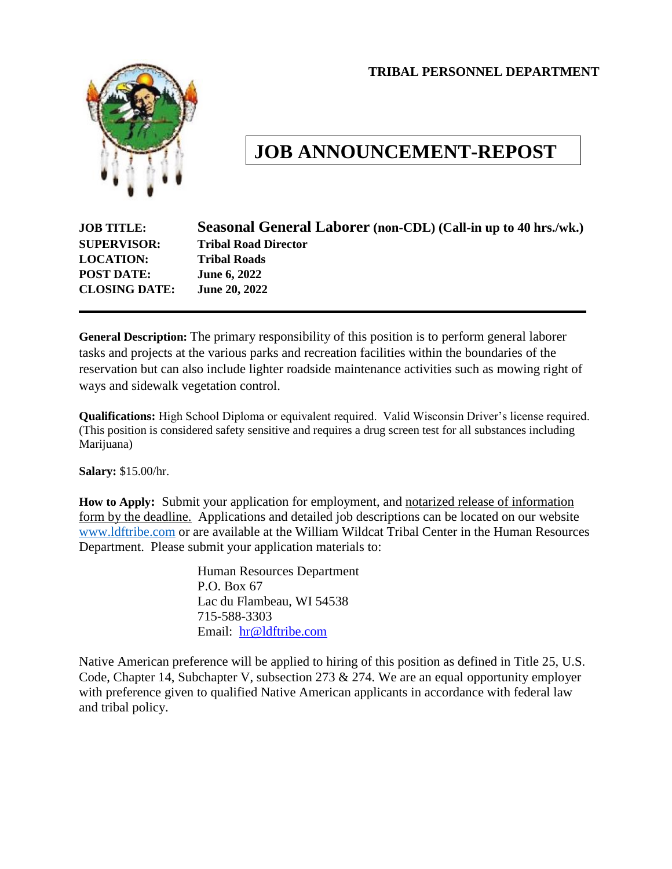**TRIBAL PERSONNEL DEPARTMENT**



# **JOB ANNOUNCEMENT-REPOST**

| <b>JOB TITLE:</b>    | Seasonal General Laborer (non-CDL) (Call-in up to 40 hrs./wk.) |
|----------------------|----------------------------------------------------------------|
| <b>SUPERVISOR:</b>   | <b>Tribal Road Director</b>                                    |
| <b>LOCATION:</b>     | <b>Tribal Roads</b>                                            |
| <b>POST DATE:</b>    | <b>June 6, 2022</b>                                            |
| <b>CLOSING DATE:</b> | <b>June 20, 2022</b>                                           |
|                      |                                                                |

**General Description:** The primary responsibility of this position is to perform general laborer tasks and projects at the various parks and recreation facilities within the boundaries of the reservation but can also include lighter roadside maintenance activities such as mowing right of ways and sidewalk vegetation control.

**Qualifications:** High School Diploma or equivalent required. Valid Wisconsin Driver's license required. (This position is considered safety sensitive and requires a drug screen test for all substances including Marijuana)

**Salary:** \$15.00/hr.

**How to Apply:** Submit your application for employment, and notarized release of information form by the deadline. Applications and detailed job descriptions can be located on our website [www.ldftribe.com](http://www.ldftribe.com/) or are available at the William Wildcat Tribal Center in the Human Resources Department. Please submit your application materials to:

> Human Resources Department P.O. Box 67 Lac du Flambeau, WI 54538 715-588-3303 Email: [hr@ldftribe.com](mailto:hr@ldftribe.com)

Native American preference will be applied to hiring of this position as defined in Title 25, U.S. Code, Chapter 14, Subchapter V, subsection 273 & 274. We are an equal opportunity employer with preference given to qualified Native American applicants in accordance with federal law and tribal policy.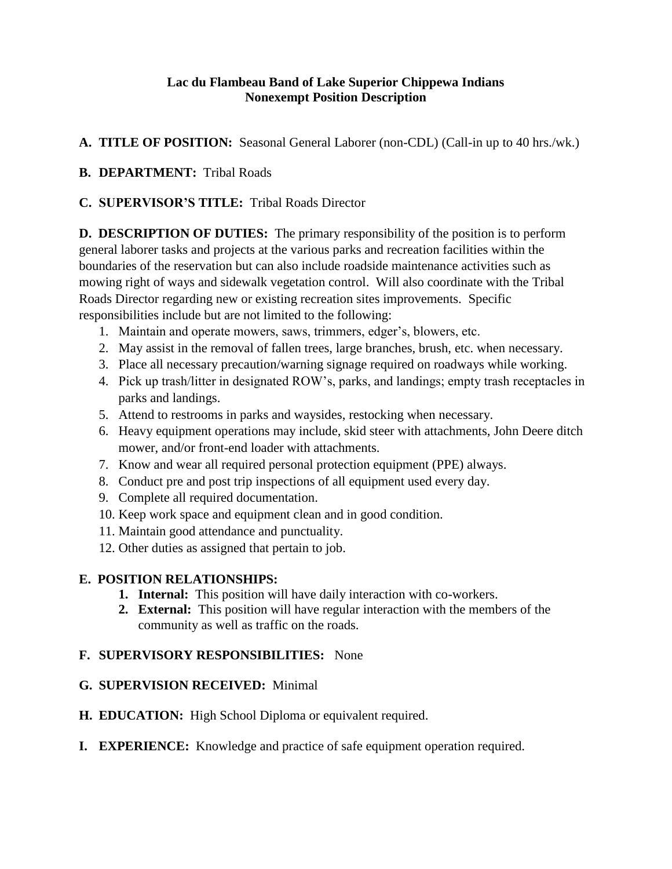#### **Lac du Flambeau Band of Lake Superior Chippewa Indians Nonexempt Position Description**

**A. TITLE OF POSITION:** Seasonal General Laborer (non-CDL) (Call-in up to 40 hrs./wk.)

### **B. DEPARTMENT:** Tribal Roads

#### **C. SUPERVISOR'S TITLE:** Tribal Roads Director

**D. DESCRIPTION OF DUTIES:** The primary responsibility of the position is to perform general laborer tasks and projects at the various parks and recreation facilities within the boundaries of the reservation but can also include roadside maintenance activities such as mowing right of ways and sidewalk vegetation control. Will also coordinate with the Tribal Roads Director regarding new or existing recreation sites improvements. Specific responsibilities include but are not limited to the following:

- 1. Maintain and operate mowers, saws, trimmers, edger's, blowers, etc.
- 2. May assist in the removal of fallen trees, large branches, brush, etc. when necessary.
- 3. Place all necessary precaution/warning signage required on roadways while working.
- 4. Pick up trash/litter in designated ROW's, parks, and landings; empty trash receptacles in parks and landings.
- 5. Attend to restrooms in parks and waysides, restocking when necessary.
- 6. Heavy equipment operations may include, skid steer with attachments, John Deere ditch mower, and/or front-end loader with attachments.
- 7. Know and wear all required personal protection equipment (PPE) always.
- 8. Conduct pre and post trip inspections of all equipment used every day.
- 9. Complete all required documentation.
- 10. Keep work space and equipment clean and in good condition.
- 11. Maintain good attendance and punctuality.
- 12. Other duties as assigned that pertain to job.

### **E. POSITION RELATIONSHIPS:**

- **1. Internal:** This position will have daily interaction with co-workers.
- **2. External:** This position will have regular interaction with the members of the community as well as traffic on the roads.

### **F. SUPERVISORY RESPONSIBILITIES:** None

### **G. SUPERVISION RECEIVED:** Minimal

- **H. EDUCATION:** High School Diploma or equivalent required.
- **I. EXPERIENCE:** Knowledge and practice of safe equipment operation required.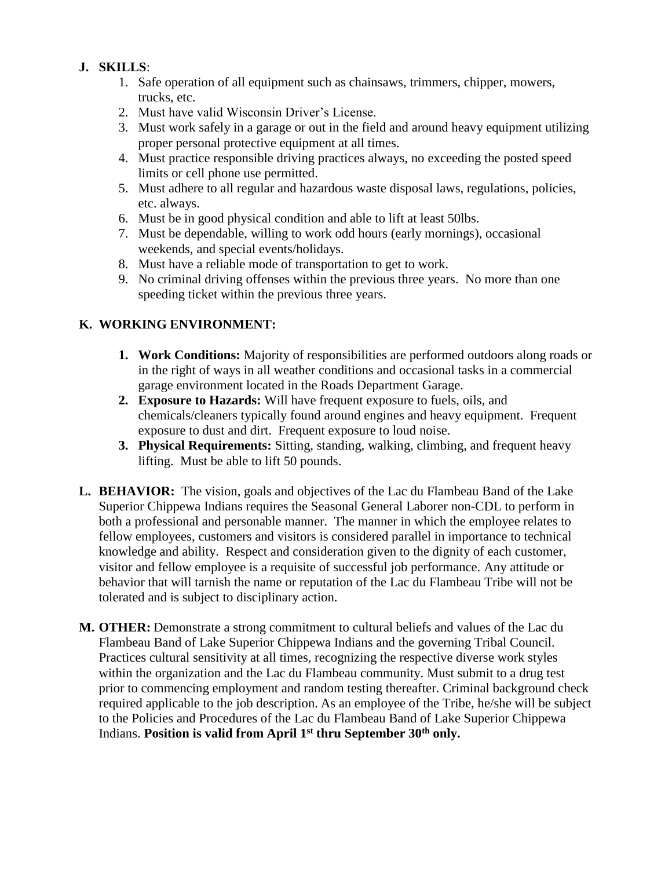## **J. SKILLS**:

- 1. Safe operation of all equipment such as chainsaws, trimmers, chipper, mowers, trucks, etc.
- 2. Must have valid Wisconsin Driver's License.
- 3. Must work safely in a garage or out in the field and around heavy equipment utilizing proper personal protective equipment at all times.
- 4. Must practice responsible driving practices always, no exceeding the posted speed limits or cell phone use permitted.
- 5. Must adhere to all regular and hazardous waste disposal laws, regulations, policies, etc. always.
- 6. Must be in good physical condition and able to lift at least 50lbs.
- 7. Must be dependable, willing to work odd hours (early mornings), occasional weekends, and special events/holidays.
- 8. Must have a reliable mode of transportation to get to work.
- 9. No criminal driving offenses within the previous three years. No more than one speeding ticket within the previous three years.

## **K. WORKING ENVIRONMENT:**

- **1. Work Conditions:** Majority of responsibilities are performed outdoors along roads or in the right of ways in all weather conditions and occasional tasks in a commercial garage environment located in the Roads Department Garage.
- **2. Exposure to Hazards:** Will have frequent exposure to fuels, oils, and chemicals/cleaners typically found around engines and heavy equipment. Frequent exposure to dust and dirt. Frequent exposure to loud noise.
- **3. Physical Requirements:** Sitting, standing, walking, climbing, and frequent heavy lifting. Must be able to lift 50 pounds.
- **L. BEHAVIOR:** The vision, goals and objectives of the Lac du Flambeau Band of the Lake Superior Chippewa Indians requires the Seasonal General Laborer non-CDL to perform in both a professional and personable manner. The manner in which the employee relates to fellow employees, customers and visitors is considered parallel in importance to technical knowledge and ability. Respect and consideration given to the dignity of each customer, visitor and fellow employee is a requisite of successful job performance. Any attitude or behavior that will tarnish the name or reputation of the Lac du Flambeau Tribe will not be tolerated and is subject to disciplinary action.
- **M. OTHER:** Demonstrate a strong commitment to cultural beliefs and values of the Lac du Flambeau Band of Lake Superior Chippewa Indians and the governing Tribal Council. Practices cultural sensitivity at all times, recognizing the respective diverse work styles within the organization and the Lac du Flambeau community. Must submit to a drug test prior to commencing employment and random testing thereafter. Criminal background check required applicable to the job description. As an employee of the Tribe, he/she will be subject to the Policies and Procedures of the Lac du Flambeau Band of Lake Superior Chippewa Indians. **Position is valid from April 1st thru September 30th only.**